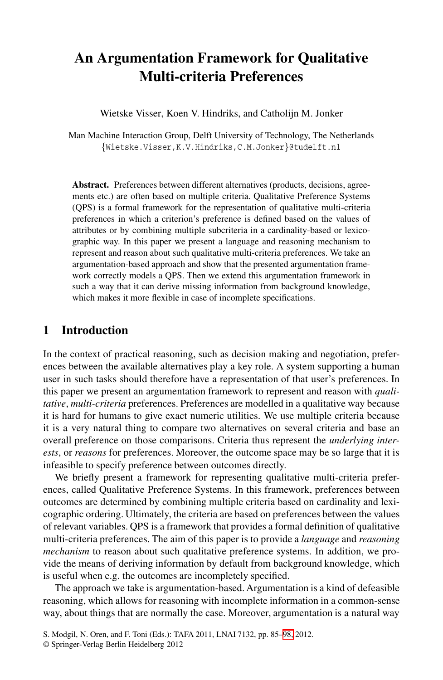# **An Argumentation Framework for Qualitative Multi-criteria Preferences**

Wietske Visser, Koen V. Hindriks, and Catholijn M. Jonker

Man Machine Interaction Group, Delft University of Technology, The Netherlands *{*Wietske.Visser,K.V.Hindriks,C.M.Jonker*}*@tudelft.nl

**Abstract.** Preferences between different alternatives (products, decisions, agreements etc.) are often based on multiple criteria. Qualitative Preference Systems (QPS) is a formal framework for the representation of qualitative multi-criteria preferences in which a criterion's preference is defined based on the values of attributes or by combining multiple subcriteria in a cardinality-based or lexicographic way. In this paper we present a language and reasoning mechanism to represent and reason about such qualitative multi-criteria preferences. We take an argumentation-based approach and show that the presented argumentation framework correctly models a QPS. Then we extend this argumentation framework in such a way that it can derive missing information from background knowledge, which makes it more flexible in case of incomplete specifications.

## **1 Introduction**

In the context of practical reasoning, such as decision making and negotiation, preferences between the available alternatives play a key role. A system supporting a human user in such tasks should therefore have a representation of that user's preferences. In this paper we present an argumentation framework to represent and reason with *qualitative*, *multi-criteria* preferences. Preferences are modelled in a qualitative way because it is hard for humans to give exact numeric utilities. We use multiple criteria because it is a very natural thing to compare two alternatives on several criteria and base an overall preference on those comparisons. Criteria thus represent the *underlying interests*, or *reasons* for preferences. Moreover, the outcome space may be so large that it is infeasible to specify preference between outcomes directly.

We briefly present a framework for representing qualitative multi-criteria preferences, called Qualitative Preference Systems. In this framework, preferences between outcomes are determined by combining multiple criteria based on cardinality and lexicographic ordering. Ultimately, the criteria are based on preferences between the values of relevant variables. QPS is a framework that provides a formal definition of qualitative multi-criteria preferences. The aim of [thi](#page-13-0)s paper is to provide a *language* and *reasoning mechanism* to reason about such qualitative preference systems. In addition, we provide the means of deriving information by default from background knowledge, which is useful when e.g. the outcomes are incompletely specified.

The approach we take is argumentation-based. Argumentation is a kind of defeasible reasoning, which allows for reasoning with incomplete information in a common-sense way, about things that are normally the case. Moreover, argumentation is a natural way

S. Modgil, N. Oren, and F. Toni (Eds.): TAFA 2011, LNAI 7132, pp. 85–98, 2012.

<sup>©</sup> Springer-Verlag Berlin Heidelberg 2012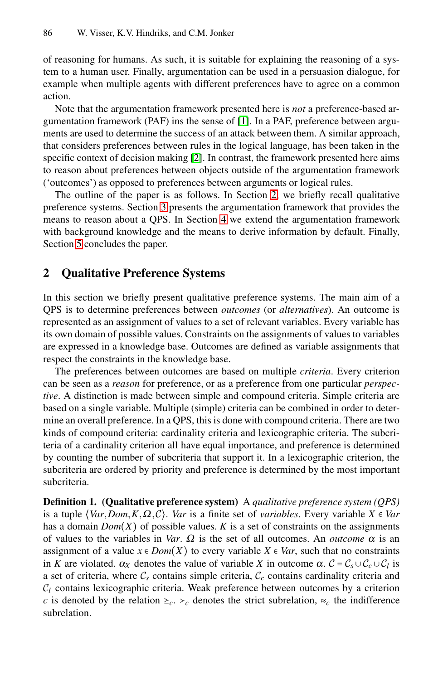#### 86 W. Visser, K.V. Hind[rik](#page-12-0)s, and C.M. Jonker

of reasoning fo[r h](#page-12-1)umans. As such, it is suitable for explaining the reasoning of a system to a human user. Finally, argumentation can be used in a persuasion dialogue, for example when multiple agents with different preferences have to agree on a common action.

Not[e th](#page-2-0)at the argumentation framework presented here is *not* a preference-based argumentation framewo[rk](#page-9-0) (PAF) ins the sense of [1]. In a PAF, preference between arguments are used to determine the success of an attack between them. A similar approach, that considers preferences between rules in the logical language, has been taken in the specific context of decision making [2]. In contrast, the framework presented here aims to reason about preferences between objects outside of the argumentation framework ('outcomes') as opposed to preferences between arguments or logical rules.

The outline of the paper is as follows. In Section 2, we briefly recall qualitative preference systems. Section 3 presents the argumentation framework that provides the means to reason about a QPS. In Section 4 we extend the argumentation framework with background knowledge and the means to derive information by default. Finally, Section 5 concludes the paper.

# **2 Qualitative Preference Systems**

In this section we briefly present qualitative preference systems. The main aim of a QPS is to determine preferences between *outcomes* (or *alternatives*). An outcome is represented as an assignment of values to a set of relevant variables. Every variable has its own domain of possible values. Constraints on the assignments of values to variables are expressed in a knowledge base. Outcomes are defined as variable assignments that respect the constraints in the knowledge base.

The preferences between outcomes are based on multiple *criteria*. Every criterion can be seen as a *reason* for preference, or as a preference from one particular *perspective*. A distinction is made between simple and compound criteria. Simple criteria are based on a single variable. Multiple (simple) criteria can be combined in order to determine an overall preference. In a QPS, this is done with compound criteria. There are two kinds of compound criteria: cardinality criteria and lexicographic criteria. The subcriteria of a cardinality criterion all have equal importance, and preference is determined by counting the number of subcriteria that support it. In a lexicographic criterion, the subcriteria are ordered by priority and preference is determined by the most important subcriteria.

**Definition 1. (Qualitative preference system)** A *qualitative preference system (QPS)* is a tuple  $\langle Var, Dom, K, \Omega, C \rangle$ . *Var* is a finite set of *variables*. Every variable  $X \in Var$ has a domain  $Dom(X)$  of possible values. *K* is a set of constraints on the assignments of values to the variables in *Var*.  $\Omega$  is the set of all outcomes. An *outcome*  $\alpha$  is an assignment of a value  $x \in Dom(X)$  to every variable  $X \in Var$ , such that no constraints in *K* are violated.  $\alpha_X$  denotes the value of variable *X* in outcome  $\alpha$ .  $C = C_s \cup C_c \cup C_l$  is a set of criteria, where  $C_s$  contains simple criteria,  $C_c$  contains cardinality criteria and  $C_l$  contains lexicographic criteria. Weak preference between outcomes by a criterion *c* is denoted by the relation  $\geq_c$ .  $\geq_c$  denotes the strict subrelation,  $\approx_c$  the indifference subrelation.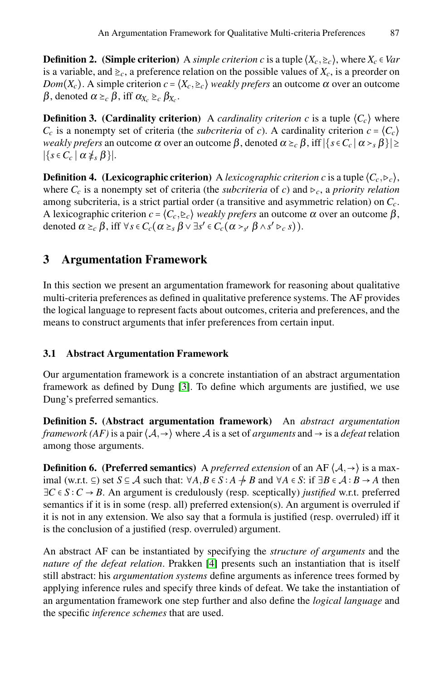<span id="page-2-0"></span>**Definition 2.** (Simple criterion) A *simple criterion c* is a tuple  $\langle X_c, \geq_c \rangle$ , where  $X_c \in \text{Var}$ is a variable, and  $\geq_c$ , a preference relation on the possible values of  $X_c$ , is a preorder on *Dom*( $X_c$ ). A simple criterion  $c = \langle X_c, \geq_c \rangle$  *weakly prefers* an outcome  $\alpha$  over an outcome  $β$ , denoted  $α ≥<sub>c</sub> β$ , iff  $α<sub>X<sub>c</sub></sub> ≥<sub>c</sub> β<sub>X<sub>c</sub></sub>$ .

**Definition 3. (Cardinality criterion)** A *cardinality criterion c* is a tuple  $\langle C_c \rangle$  where  $C_c$  is a nonempty set of criteria (the *subcriteria* of *c*). A cardinality criterion  $c = \langle C_c \rangle$ *weakly prefers* an outcome  $\alpha$  over an outcome  $\beta$ , denoted  $\alpha \geq_c \beta$ , iff  $|\{s \in C_c | \alpha >_s \beta\}| \geq$  $|\{s \in C_c \mid \alpha \neq s \beta\}|.$ 

**Definition 4.** (Lexicographic criterion) A *lexicographic criterion c* is a tuple  $\langle C_c, \triangleright_c \rangle$ , where *Cc* is a nonempty set of criteria (the *subcriteria* of *c*) and ⊳*c*, a *priority relation* among subcriteria, is a strict partial order (a transitive and asymmetric relation) on *Cc*. A lexicographic criterion  $c = (C_c, \geq_c)$  *weakly prefers* an outcome  $\alpha$  over an outcome  $\beta$ , denoted  $\alpha \geq_c \beta$ , iff  $\forall s \in C_c(\alpha \geq_s \beta \vee \exists s' \in C_c(\alpha \geq_{s'} \beta \wedge s' \supseteq_c s))$ .

## **3 Argumentation Framework**

In this section we present an argumentation framework for reasoning about qualitative multi-criteri[a](#page-13-1) [p](#page-13-1)references as defined in qualitative preference systems. The AF provides the logical language to represent facts about outcomes, criteria and preferences, and the means to construct arguments that infer preferences from certain input.

#### **3.1 Abstract Argumentation Framework**

Our argumentation framework is a concrete instantiation of an abstract argumentation framework as defined by Dung [3]. To define which arguments are justified, we use Dung's preferred semantics.

**Definition 5. (Abstract argumentation framework)** An *abstract argumentation framework (AF)* is a pair  $\langle A, \rightarrow \rangle$  where A is a set of *arguments* and  $\rightarrow$  is a *defeat* relation among those arguments.

**Definition 6.** (Pre[fer](#page-13-2)red semantics) A *preferred extension* of an AF  $\langle A, \rightarrow \rangle$  is a maximal (w.r.t. ⊆) set *S* ⊆ *A* such that:  $\forall A, B \in S : A \neq B$  and  $\forall A \in S$ : if  $\exists B \in A : B \rightarrow A$  then ∃*C* ∈ *S* ∶ *C* → *B*. An argument is credulously (resp. sceptically) *justified* w.r.t. preferred semantics if it is in some (resp. all) preferred extension(s). An argument is overruled if it is not in any extension. We also say that a formula is justified (resp. overruled) iff it is the conclusion of a justified (resp. overruled) argument.

An abstract AF can be instantiated by specifying the *structure of arguments* and the *nature of the defeat relation*. Prakken [4] presents such an instantiation that is itself still abstract: his *argumentation systems* define arguments as inference trees formed by applying inference rules and specify three kinds of defeat. We take the instantiation of an argumentation framework one step further and also define the *logical language* and the specific *inference schemes* that are used.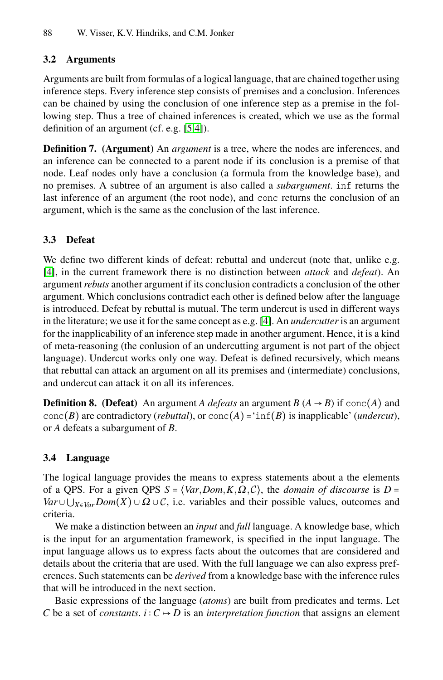#### **3.2 Arguments**

Arguments are built from formulas of a logical language, that are chained together using inference steps. Every inference step consists of premises and a conclusion. Inferences can be chained by using the conclusion of one inference step as a premise in the following step. Thus a tree of chained inferences is created, which we use as the formal definition of an argument (cf. e.g. [5,4]).

**Definition 7. (Argument)** An *argument* is a tree, where the nodes are inferences, and an inference can be connected to a parent node if its conclusion is a premise of that node. Leaf nodes only have a conclusion (a formula from the knowledge base), and no premises. A subtree of an argument is also called a *subargument*. inf returns the last inference of an argument (the root node), and conc returns the conclusion of an argument, which is the same as the conclusion of the last inference.

#### **3.3 Defeat**

We define two different kinds of defeat: rebuttal and undercut (note that, unlike e.g. [4], in the current framework there is no distinction between *attack* and *defeat*). An argument*rebuts* another argument if its conclusion contradicts a conclusion of the other argument. Which conclusions contradict each other is defined below after the language is introduced. Defeat by rebuttal is mutual. The term undercut is used in different ways in the literature; we use it for the same concept as e.g. [4]. An *undercutter*is an argument for the inapplicability of an inference step made in another argument. Hence, it is a kind of meta-reasoning (the conlusion of an undercutting argument is not part of the object language). Undercut works only one way. Defeat is defined recursively, which means that rebuttal can attack an argument on all its premises and (intermediate) conclusions, and undercut can attack it on all its inferences.

**Definition 8.** (Defeat) An argument *A defeats* an argument *B*  $(A \rightarrow B)$  if conc $(A)$  and conc $(B)$  are contradictory (*rebuttal*), or conc $(A) = \text{inf}(B)$  is inapplicable' (*undercut*), or *A* defeats a subargument of *B*.

## **3.4 Language**

The logical language provides the means to express statements about a the elements of a QPS. For a given QPS  $S = \langle Var, Dom, K, \Omega, C \rangle$ , the *domain of discourse* is  $D =$ *Var* ∪ ∪<sub>*X*∈*Var*</sub> *Dom*(*X*) ∪ Ω ∪ *C*, i.e. variables and their possible values, outcomes and criteria.

We make a distinction between an *input* and *full* language. A knowledge base, which is the input for an argumentation framework, is specified in the input language. The input language allows us to express facts about the outcomes that are considered and details about the criteria that are used. With the full language we can also express preferences. Such statements can be *derived* from a knowledge base with the inference rules that will be introduced in the next section.

Basic expressions of the language (*atoms*) are built from predicates and terms. Let *C* be a set of *constants*.  $i: C \rightarrow D$  is an *interpretation function* that assigns an element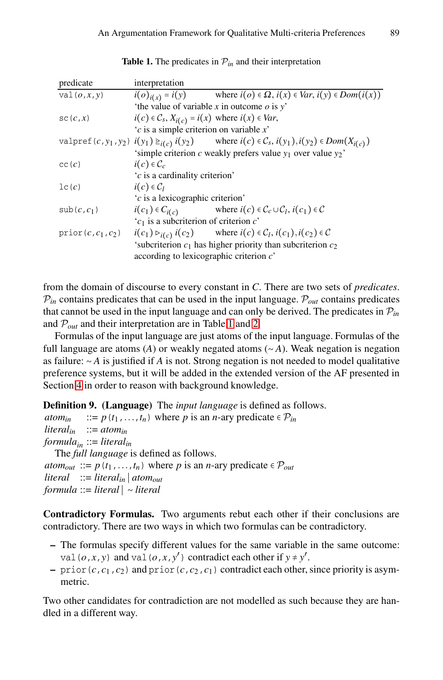<span id="page-4-0"></span>**Table 1.** The predicates in  $\mathcal{P}_{in}$  and their interpretation

| predicate     | interpretation                                                      |                                                                                                              |  |
|---------------|---------------------------------------------------------------------|--------------------------------------------------------------------------------------------------------------|--|
| val(o,x,y)    | $i(o)_{i(x)} = i(y)$                                                | where $i(o) \in \Omega$ , $i(x) \in \overline{Var, i(y) \in Dom(i(x))}$                                      |  |
|               | 'the value of variable x in outcome $\alpha$ is y'                  |                                                                                                              |  |
| sc(c,x)       | $i(c) \in C_s$ , $X_{i(c)} = i(x)$ where $i(x) \in Var$ ,           |                                                                                                              |  |
|               | $c$ is a simple criterion on variable x'                            |                                                                                                              |  |
|               |                                                                     | valpref $(c, y_1, y_2)$ $i(y_1) \ge_{i(c)} i(y_2)$ where $i(c) \in C_s$ , $i(y_1), i(y_2) \in Dom(X_{i(c)})$ |  |
|               | 'simple criterion $c$ weakly prefers value $y_1$ over value $y_2$ ' |                                                                                                              |  |
| cc(c)         | $i(c) \in \mathcal{C}_c$                                            |                                                                                                              |  |
|               | 'c is a cardinality criterion'                                      |                                                                                                              |  |
| lc(c)         | $i(c) \in C_1$                                                      |                                                                                                              |  |
|               | 'c is a lexicographic criterion'                                    |                                                                                                              |  |
| $sub(c, c_1)$ |                                                                     | $i(c_1) \in C_{i(c)}$ where $i(c) \in C_c \cup C_l$ , $i(c_1) \in C$                                         |  |
|               | $c_1$ is a subcriterion of criterion c'                             |                                                                                                              |  |
|               |                                                                     | prior $(c, c_1, c_2)$ $i(c_1) \triangleright_{i(c)} i(c_2)$ where $i(c) \in C_l, i(c_1), i(c_2) \in C$       |  |
|               | 'subcriterion $c_1$ has higher priority than subcriterion $c_2$     |                                                                                                              |  |
|               | according to lexicographic criterion $c'$                           |                                                                                                              |  |

from the domain of discourse to every constant in *C*. There are two sets of *predicates*.  $P_{in}$  contains predicates that can be used in the input language.  $P_{out}$  contains predicates that cannot be used in the input language and can only be derived. The predicates in  $\mathcal{P}_{in}$ and  $P_{out}$  and their interpretation are in Table 1 and 2.

Formulas of the input language are just atoms of the input language. Formulas of the full language are atoms (*A*) or weakly negated atoms (∼ *A*). Weak negation is negation as failure: ∼ *A* is justified if *A* is not. Strong negation is not needed to model qualitative preference systems, but it will be added in the extended version of the AF presented in Section 4 in order to reason with background knowledge.

**Definition 9. (Language)** The *input language* is defined as follows.

 $atom_{in}$  ::=  $p(t_1, ..., t_n)$  where *p* is an *n*-ary predicate  $\in \mathcal{P}_{in}$  $literal<sub>in</sub> ::= atom<sub>in</sub>$ *formulain* ::= *literalin* The *full language* is defined as follows.  $atom_{out}$  ::=  $p(t_1, \ldots, t_n)$  where *p* is an *n*-ary predicate  $\in \mathcal{P}_{out}$ *literal* ::= *literalin* ∣ *atomout formula* ::= *literal* ∣ ∼ *literal*

**Contradictory Formulas.** Two arguments rebut each other if their conclusions are contradictory. There are two ways in which two formulas can be contradictory.

- **–** The formulas specify different values for the same variable in the same outcome: val( $o, x, y$ ) and val( $o, x, y'$ ) contradict each other if  $y \neq y'$ .
- $-$  prior(*c*,*c*<sub>1</sub>,*c*<sub>2</sub>) and prior(*c*,*c*<sub>2</sub>,*c*<sub>1</sub>) contradict each other, since priority is asymmetric.

Two other candidates for contradiction are not modelled as such because they are handled in a different way.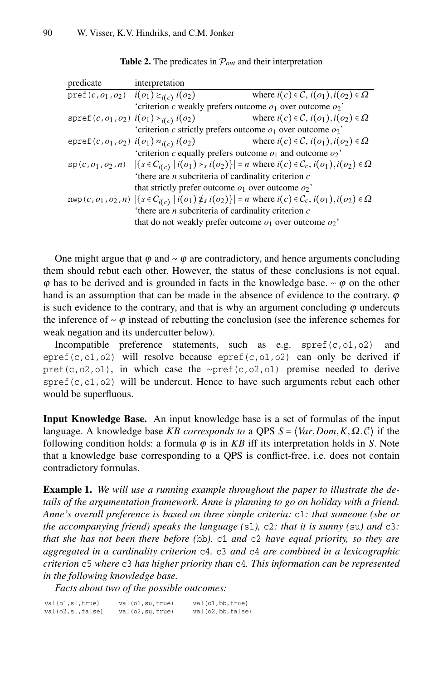| predicate                                                                                        | interpretation                                                                                                           |                                                                                                                                |  |
|--------------------------------------------------------------------------------------------------|--------------------------------------------------------------------------------------------------------------------------|--------------------------------------------------------------------------------------------------------------------------------|--|
| pref( <i>c</i> , $o_1$ , $o_2$ ) $i(o_1) \ge_{i(c)} i(o_2)$                                      |                                                                                                                          | where $i(c) \in \mathcal{C}$ , $i(o_1)$ , $i(o_2) \in \Omega$                                                                  |  |
|                                                                                                  | 'criterion c weakly prefers outcome $o_1$ over outcome $o_2$ '                                                           |                                                                                                                                |  |
| spref( <i>c</i> , <i>o</i> <sub>1</sub> , <i>o</i> <sub>2</sub> ) $i(o_1) >_{i(c)} i(o_2)$       |                                                                                                                          | where $i(c) \in \mathcal{C}$ , $i(o_1)$ , $i(o_2) \in \Omega$                                                                  |  |
|                                                                                                  | 'criterion c strictly prefers outcome $o_1$ over outcome $o_2$ '                                                         |                                                                                                                                |  |
| epref( <i>c</i> , <i>o</i> <sub>1</sub> , <i>o</i> <sub>2</sub> ) $i(o_1) \approx_{i(c)} i(o_2)$ |                                                                                                                          | where $i(c) \in \mathcal{C}$ , $i(o_1)$ , $i(o_2) \in \Omega$                                                                  |  |
|                                                                                                  | 'criterion c equally prefers outcome $o_1$ and outcome $o_2$ '                                                           |                                                                                                                                |  |
|                                                                                                  | $\sup(c, o_1, o_2, n)$ $ \{s \in C_{i(c)}   i(o_1) > s i(o_2)\}  = n$ where $i(c) \in C_c$ , $i(o_1), i(o_2) \in \Omega$ |                                                                                                                                |  |
|                                                                                                  | 'there are $n$ subcriteria of cardinality criterion $c$                                                                  |                                                                                                                                |  |
|                                                                                                  | that strictly prefer outcome $o_1$ over outcome $o_2$ '                                                                  |                                                                                                                                |  |
|                                                                                                  |                                                                                                                          | nwp $(c, o_1, o_2, n)$ $ \{s \in C_{i(c)}   i(o_1) \neq s i(o_2)\}  = n$ where $i(c) \in C_c$ , $i(o_1)$ , $i(o_2) \in \Omega$ |  |
|                                                                                                  | 'there are $n$ subcriteria of cardinality criterion $c$                                                                  |                                                                                                                                |  |
|                                                                                                  | that do not weakly prefer outcome $o_1$ over outcome $o_2$                                                               |                                                                                                                                |  |

<span id="page-5-0"></span>**Table 2.** The predicates in *Pout* and their interpretation

One might argue that  $\varphi$  and  $\sim \varphi$  are contradictory, and hence arguments concluding them should rebut each other. However, the status of these conclusions is not equal.  $\varphi$  has to be derived and is grounded in facts in the knowledge base.  $\sim \varphi$  on the other hand is an assumption that can be made in the absence of evidence to the contrary.  $\varphi$ is such evidence to the contrary, and that is why an argument concluding  $\varphi$  undercuts the inference of  $~\sim \varphi$  instead of rebutting the conclusion (see the inference schemes for weak negation and its undercutter below).

Incompatible preference statements, such as e.g. spref(c,o1,o2) and epref(c,o1,o2) will resolve because epref(c,o1,o2) can only be derived if pref(c,o2,o1), in which case the ∼pref(c,o2,o1) premise needed to derive spref( $c$ , $o1$ , $o2$ ) will be undercut. Hence to have such arguments rebut each other would be superfluous.

**Input Knowledge Base.** An input knowledge base is a set of formulas of the input language. A knowledge base *KB corresponds to* a OPS  $S = \langle Var, Dom, K, \Omega, C \rangle$  if the following condition holds: a formula  $\varphi$  is in *KB* iff its interpretation holds in *S*. Note that a knowledge base corresponding to a QPS is conflict-free, i.e. does not contain contradictory formulas.

**Example 1.** *We will use a running example throughout the paper to illustrate the details of the argumentation framework. Anne is planning to go on holiday with a friend. Anne's overall preference is based on three simple criteria:* c1*: that someone (she or the accompanying friend) speaks the language (*sl*),* c2*: that it is sunny (*su*) and* c3*: that she has not been there before (*bb*).* c1 *and* c2 *have equal priority, so they are aggregated in a cardinality criterion* c4*.* c3 *and* c4 *are combined in a lexicographic criterion* c5 *where* c3 *has higher priority than* c4*. This information can be represented in the following knowledge base.*

*Facts about two of the possible outcomes:*

val(o1,sl,true) val(o1,su,true) val(o1,bb,true)<br>val(o2,sl,false) val(o2,su,true) val(o2,bb,false)  $val(02, sl, false)$  val $(02, su, true)$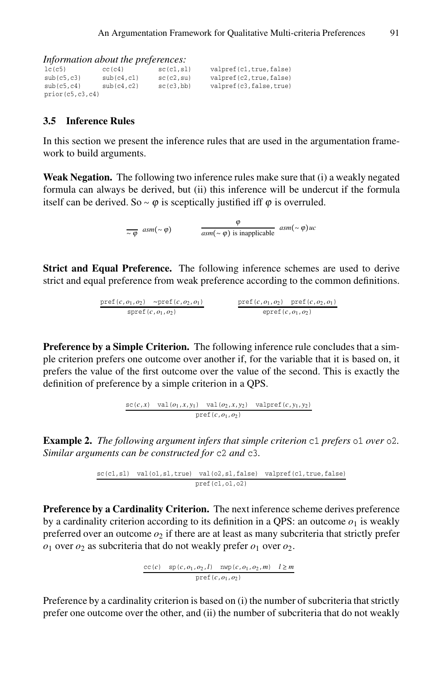*Information about the preferences:*

| lc(c5)            | cc (c4)     | sc(c1,s1)  | valpref(c1, true, false)  |
|-------------------|-------------|------------|---------------------------|
| sub(c5, c3)       | sub(c4, c1) | sc(c2, su) | valpref (c2, true, false) |
| sub(c5, c4)       | sub(c4, c2) | sc(c3, bb) | valpref (c3, false, true) |
| prior(c5, c3, c4) |             |            |                           |

#### **3.5 Inference Rules**

In this section we present the inference rules that are used in the argumentation framework to build arguments.

**Weak Negation.** The following two inference rules make sure that (i) a weakly negated formula can always be derived, but (ii) this inference will be undercut if the formula itself can be derived. So  $\sim \varphi$  is sceptically justified iff  $\varphi$  is overruled.

 $\frac{\varphi}{\sim \varphi}$  *asm*(∼ *ϕ*)  $\frac{\varphi}{asm(\sim \varphi) \text{ is inapplicable}}$  *asm*(∼ *ϕ*)*uc* 

**Strict and Equal Preference.** The following inference schemes are used to derive strict and equal preference from weak preference according to the common definitions.

$$
\frac{\operatorname{pref}(c,o_1,o_2)\quad\text{-}\operatorname{pref}(c,o_2,o_1)}{\operatorname{spref}(c,o_1,o_2)}\qquad\qquad\frac{\operatorname{pref}(c,o_1,o_2)\quad\operatorname{pref}(c,o_2,o_1)}{\operatorname{epref}(c,o_1,o_2)}
$$

**Preference by a Simple Criterion.** The following inference rule concludes that a simple criterion prefers one outcome over another if, for the variable that it is based on, it prefers the value of the first outcome over the value of the second. This is exactly the definition of preference by a simple criterion in a QPS.

$$
\frac{\text{sc}(c,x) \quad \text{val}(o_1,x,y_1) \quad \text{val}(o_2,x,y_2) \quad \text{valpref}(c,y_1,y_2)}{\text{pref}(c,o_1,o_2)}
$$

**Example 2.** *The following argument infers that simple criterion* c1 *prefers* o1 *over* o2*. Similar arguments can be constructed for* c2 *and* c3*.*

> sc(c1,sl) val(o1,sl,true) val(o2,sl,false) valpref(c1,true,false) pref(c1,o1,o2)

**Preference by a Cardinality Criterion.** The next inference scheme derives preference by a cardinality criterion according to its definition in a QPS: an outcome  $o_1$  is weakly preferred over an outcome  $o_2$  if there are at least as many subcriteria that strictly prefer  $o_1$  over  $o_2$  as subcriteria that do not weakly prefer  $o_1$  over  $o_2$ .

$$
\begin{aligned}[c c(c) &\quad \text{sp}\left(c,o_1,o_2,l\right) &\quad \text{nwp}\left(c,o_1,o_2,m\right) &\quad l\geq m\\ &\quad \text{pref}\left(c,o_1,o_2\right) &\quad \end{aligned}
$$

Preference by a cardinality criterion is based on (i) the number of subcriteria that strictly prefer one outcome over the other, and (ii) the number of subcriteria that do not weakly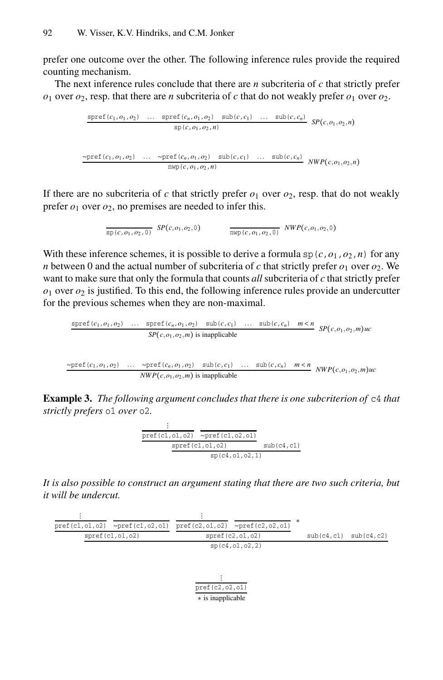prefer one outcome over the other. The following inference rules provide the required counting mechanism.

The next inference rules conclude that there are *n* subcriteria of *c* that strictly prefer  $o_1$  over  $o_2$ , resp. that there are *n* subcriteria of *c* that do not weakly prefer  $o_1$  over  $o_2$ .

> spref(*c*<sub>1</sub>,*o*<sub>1</sub>,*o*<sub>2</sub>) ... spref(*c<sub>n</sub>*,*o*<sub>1</sub>,*o*<sub>2</sub>) sub(*c*,*c*<sub>1</sub>) ... sub(*c*,*c<sub>n</sub>*) *SP*(*c*,*o*<sub>1</sub>,*o*<sub>2</sub>,*n*) sp(*c*,*o*1,*o*2,*n*) ∼pref(*c*1,*o*1,*o*2) *...* ∼pref(*cn*,*o*1,*o*2) sub(*c*,*c*1) *...* sub(*c*,*cn*) *NWP*(*c,o*1*,o*2*,n*) nwp(*c*,*o*1,*o*2,*n*)

If there are no subcriteria of  $c$  that strictly prefer  $o_1$  over  $o_2$ , resp. that do not weakly prefer  $o_1$  over  $o_2$ , no premises are needed to infer this.

 $\frac{\text{SD}(c, o_1, o_2, 0)}{\text{IND}(c, o_1, o_2, 0)}$  *SP*(*c*,*o*<sub>1</sub>,*o*<sub>2</sub>,0)  $\frac{\text{NWP}(c, o_1, o_2, 0)}{\text{IND}(c, o_1, o_2, 0)}$ 

With these inference schemes, it is possible to derive a formula  $sp(c, o_1, o_2, n)$  for any *n* between 0 and the actual number of subcriteria of *c* that strictly prefer  $o_1$  over  $o_2$ . We want to make sure that only the formula that counts *all*subcriteria of *c* that strictly prefer  $o_1$  over  $o_2$  is justified. To this end, the following inference rules provide an undercutter for the previous schemes when they are non-maximal.

spref(c<sub>1</sub>,  $o_1$ ,  $o_2$ ) ... spref(c<sub>n</sub>,  $o_1$ ,  $o_2$ ) sub(c, c<sub>1</sub>) ... sub(c, c<sub>n</sub>)  $m < n$   $SP(c, o_1, o_2, m)$ uc  $SP(c, o_1, o_2, m)$  is inapplicable

 $\frac{\text{wpref}(c_1,o_1,o_2) \dots \text{wpref}(c_n,o_1,o_2) \cdot \text{sub}(c,c_1) \dots \cdot \text{sub}(c,c_n) \cdot m < n}{\text{wwp}(c,o_1,o_2,m)uc} \text{wwp}(c,o_1,o_2,m)uc$  $NWP(c, o_1, o_2, m)$  is inapplicable

**Example 3.** *The following argument concludes that there is one subcriterion of* c4 *that strictly prefers* o1 *over* o2*.*

$$
\frac{\n \text{pref}(c1, o1, o2) \quad \text{vpref}(c1, o2, o1)}{\n \text{spref}(c1, o1, o2) \quad \text{sub}(c4, c1)\n } \n \text{gpt}(c4, o1, o2, 1)
$$

*It is also possible to construct an argument stating that there are two such criteria, but it will be undercut.*



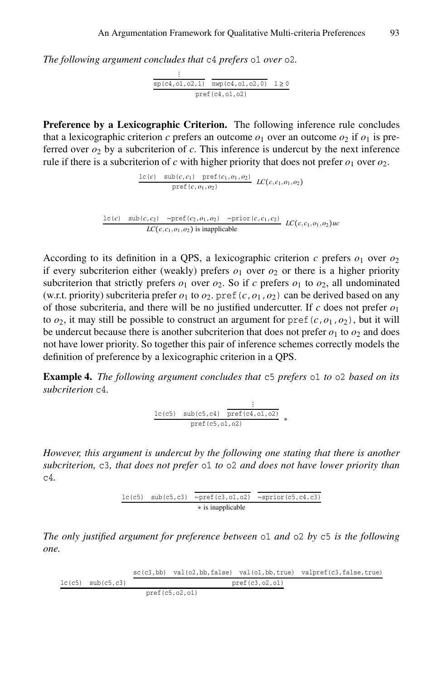*The following argument concludes that* c4 *prefers* o1 *over* o2*.*

$$
\frac{\text{:\quad }}{\text{sp}(c4, o1, o2, 1)} \cdot \frac{\text{1}}{\text{mnp}(c4, o1, o2, 0)} \cdot \frac{1 \geq 0}{1 \geq 0}
$$
\n
$$
\text{pref}(c4, o1, o2)
$$

**Preference by a Lexicographic Criterion.** The following inference rule concludes that a lexicographic criterion *c* prefers an outcome  $o_1$  over an outcome  $o_2$  if  $o_1$  is preferred over  $o_2$  by a subcriterion of  $c$ . This inference is undercut by the next inference rule if there is a subcriterion of  $c$  with higher priority that does not prefer  $o_1$  over  $o_2$ .

> lc(*c*) sub(*c*,*c*1) pref(*c*1,*o*1,*o*2)  $\frac{D(c, c_1)}{p \text{ref}(c, o_1, o_2)}$   $LC(c, c_1, o_1, o_2)$

lc(*c*) sub(*c*,*c*2) ∼pref(*c*2,*o*1,*o*2) ∼prior(*c*,*c*1,*c*2)  $LC(c, c_1, o_1, o_2)$  is inapplicable  $LC(c, c_1, o_1, o_2)$  is inapplicable

According to its definition in a QPS, a lexicographic criterion  $c$  prefers  $o_1$  over  $o_2$ if every subcriterion either (weakly) prefers  $o_1$  over  $o_2$  or there is a higher priority subcriterion that strictly prefers  $o_1$  over  $o_2$ . So if *c* prefers  $o_1$  to  $o_2$ , all undominated (w.r.t. priority) subcriteria prefer  $o_1$  to  $o_2$ . pref(*c*,  $o_1$ ,  $o_2$ ) can be derived based on any of those subcriteria, and there will be no justified undercutter. If *c* does not prefer *o*<sup>1</sup> to  $o_2$ , it may still be possible to construct an argument for pref( $c$ ,  $o_1$ ,  $o_2$ ), but it will be undercut because there is another subcriterion that does not prefer  $o_1$  to  $o_2$  and does not have lower priority. So together this pair of inference schemes correctly models the definition of preference by a lexicographic criterion in a QPS.

**Example 4.** *The following argument concludes that* c5 *prefers* o1 *to* o2 *based on its subcriterion* c4*.*

$$
\frac{lc(c5) \quad sub(c5, c4) \quad \frac{::}{pref(c4, o1, o2)}}{pref(c5, o1, o2)} \times
$$

*However, this argument is undercut by the following one stating that there is another subcriterion,* c3*, that does not prefer* o1 *to* o2 *and does not have lower priority than* c4*.*

$$
\frac{lc(c5) \quad sub(c5, c3)}{\sqrt{csc(c5, c4, c3)}} \quad \frac{L}{2} \left( c5, c4, c3 \right)
$$
\n
$$
\times \text{ is inapplicable}
$$

*The only justified argument for preference between* o1 *and* o2 *by* c5 *is the following one.*

lc(c5) sub(c5,c3) sc(c3,bb) val(o2,bb,false) val(o1,bb,true) valpref(c3,false,true) pref(c3,o2,o1) pref(c5,o2,o1)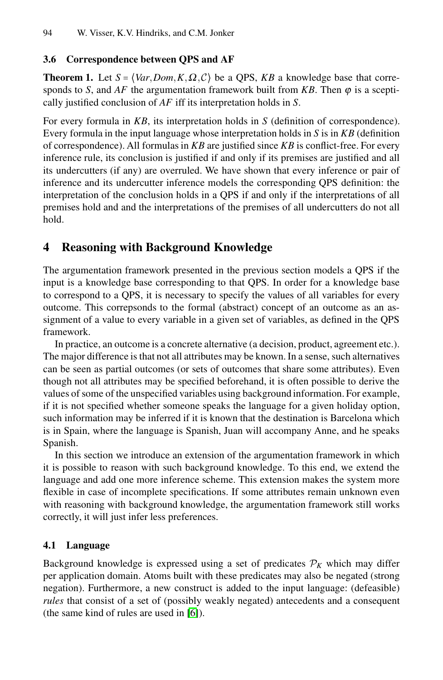#### <span id="page-9-0"></span>**3.6 Correspondence between QPS and AF**

**Theorem 1.** Let  $S = \langle Var, Dom, K, \Omega, C \rangle$  be a QPS, *KB* a knowledge base that corresponds to *S*, and *AF* the argumentation framework built from *KB*. Then  $\varphi$  is a sceptically justified conclusion of *AF* iff its interpretation holds in *S*.

For every formula in *KB*, its interpretation holds in *S* (definition of correspondence). Every formula in the input language whose interpretation holds in *S* is in *KB* (definition of correspondence). All formulas in *KB* are justified since *KB* is conflict-free. For every inference rule, its conclusion is justified if and only if its premises are justified and all its undercutters (if any) are overruled. We have shown that every inference or pair of inference and its undercutter inference models the corresponding QPS definition: the interpretation of the conclusion holds in a QPS if and only if the interpretations of all premises hold and and the interpretations of the premises of all undercutters do not all hold.

## **4 Reasoning with Background Knowledge**

The argumentation framework presented in the previous section models a QPS if the input is a knowledge base corresponding to that QPS. In order for a knowledge base to correspond to a QPS, it is necessary to specify the values of all variables for every outcome. This correpsonds to the formal (abstract) concept of an outcome as an assignment of a value to every variable in a given set of variables, as defined in the QPS framework.

In practice, an outcome is a concrete alternative (a decision, product, agreement etc.). The major difference is that not all attributes may be known. In a sense, such alternatives can be seen as partial outcomes (or sets of outcomes that share some attributes). Even though not all attributes may be specified beforehand, it is often possible to derive the values of some of the unspecified variables using background information. For example, if it is not specified whether someone speaks the language for a given holiday option, such information may be inferred if it is known that the destination is Barcelona which is in Spain, where the language is Spanish, Juan will accompany Anne, and he speaks Spanish.

In this section we introduce an extension of the argumentation framework in which it is possible to reason with such background knowledge. To this end, we extend the language and add one more inference scheme. This extension makes the system more flexible in case of incomplete specifications. If some attributes remain unknown even with reasoning with background knowledge, the argumentation framework still works correctly, it wi[ll j](#page-13-4)ust infer less preferences.

## **4.1 Language**

Background knowledge is expressed using a set of predicates  $P_K$  which may differ per application domain. Atoms built with these predicates may also be negated (strong negation). Furthermore, a new construct is added to the input language: (defeasible) *rules* that consist of a set of (possibly weakly negated) antecedents and a consequent (the same kind of rules are used in [6]).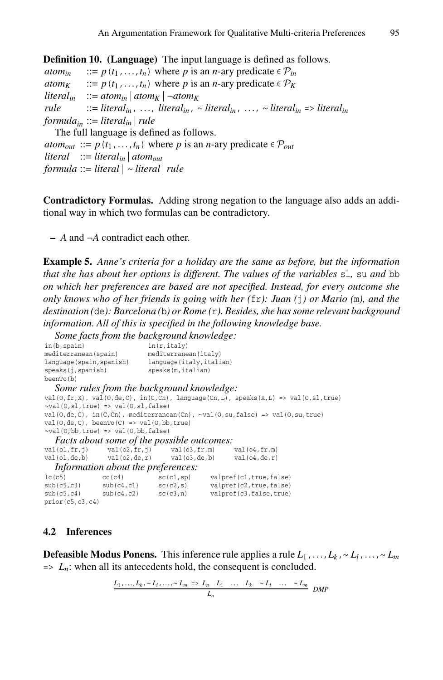**Definition 10. (Language)** The input language is defined as follows. *atom<sub>in</sub>* ::=  $p(t_1, ..., t_n)$  where *p* is an *n*-ary predicate  $\in \mathcal{P}_i$ <br>*atomx* ::=  $p(t_1, ..., t_n)$  where *p* is an *n*-ary predicate  $\in \mathcal{P}_k$  $\therefore$  *z p*(*t*<sub>1</sub>, ...,*t<sub>n</sub>*) where *p* is an *n*-ary predicate  $\in$  *P<sub>K</sub>*  $lateral<sub>m</sub>$  ::=  $atom<sub>m</sub>$  |  $atom<sub>K</sub>$  |  $\neg atom<sub>K</sub>$ *rule* ::= *literalin*, *...*, *literalin*, ∼ *literalin*, *...*, ∼ *literalin* => *literalin*  $formula_{in} ::= literal_{in} | rule$ The full language is defined as follows.  $atom_{out}$  ::=  $p(t_1, \ldots, t_n)$  where  $p$  is an *n*-ary predicate  $\in \mathcal{P}_{out}$ *literal* ::= *literalin* ∣ *atomout formula* ::= *literal* ∣ ∼ *literal* ∣ *rule*

**Contradictory Formulas.** Adding strong negation to the language also adds an additional way in which two formulas can be contradictory.

**–** *A* and ¬*A* contradict each other.

**Example 5.** *Anne's criteria for a holiday are the same as before, but the information that she has about her options is different. The values of the variables* sl*,* su *and* bb *on which her preferences are based are not specified. Instead, for every outcome she only knows who of her friends is going with her (*fr*): Juan (*j*) or Mario (*m*), and the destination (*de*): Barcelona (*b*) or Rome (*r*). Besides, she has some relevant background information. All of this is specified in the following knowledge base.*

```
Some facts from the background knowledge:<br>\frac{\ln(b, \text{gain})}{\ln(r, \text{italy})}in(r,italy)mediterranean(spain) mediterranean(italy)
language(spain,spanish) language(italy,italian)
speaks(j,spanish) speaks(m,italian)
beenTo(b)
  Some rules from the background knowledge:
val(0,fr,X), val(0,de,C), in(C, Cn), language(Cn, L), speaks(X, L) => val(0,sl,true)
∼val(O,sl,true) => val(O,sl,false)
val(O,de,C), in(C,Cn), mediterranean(Cn), ∼val(O,su,false) => val(O,su,true)
val(0, de, C), beenTo(C) => val(0, bb, true)∼val(O,bb,true) => val(O,bb,false)
  Facts about some of the possible outcomes:
val(o1,fr,j) val(o2,fr,j) val(o3,fr,m) val(o4,fr,m)
val(o1,de,b) val(o2,de,r) val(o3,de,b) val(o4,de,r)
  Information about the preferences:
lc(c5) cc(c4) sc(c1,sp) valpref(c1,true,false)
sub(c5,c3) sub(c4,c1) sc(c2,s) valpref(c2,true,false)
```
sub(c5,c4) sub(c4,c2) sc(c3,n) valpref(c3,false,true)

#### **4.2 Inferences**

prior(c5,c3,c4)

**Defeasible Modus Ponens.** This inference rule applies a rule *L*1,*...*,*Lk*,∼ *Ll*,*...*,∼ *Lm*  $\Rightarrow$  *L<sub>n</sub>*: when all its antecedents hold, the consequent is concluded.

$$
\frac{L_1 \ldots L_k \sim L_l \ldots \sim L_m \Rightarrow L_n \quad L_1 \quad \ldots \quad L_k \sim L_l \quad \ldots \quad \sim L_m}{L_n} \quad DMP
$$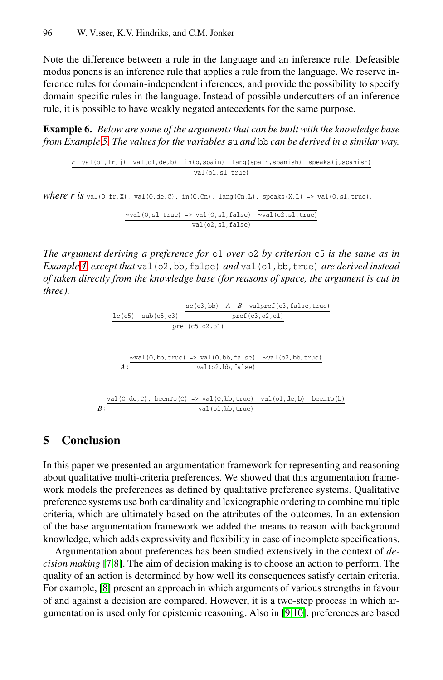#### 96 W. Visser, K.V. Hindriks, and C.M. Jonker

Note the difference between a rule in the language and an inference rule. Defeasible modus ponens is an inference rule that applies a rule from the language. We reserve inference rules for domain-independent inferences, and provide the possibility to specify domain-specific rules in the language. Instead of possible undercutters of an inference rule, it is possible to have weakly negated antecedents for the same purpose.

**Example 6.** *Below are some of the arguments that can be built with the knowledge base from Example 5. The values for the variables* su *and* bb *can be derived in a similar way.*

*r* val(o1,fr,j) val(o1,de,b) in(b,spain) lang(spain,spanish) speaks(j,spanish) val(o1,sl,true)

*where r is* val(0,fr,X), val(0,de,C), in(C,Cn), lang(Cn,L), speaks(X,L) => val(0,sl,true).

|                    | $\sim$ val $(0, s1, true)$ => val $(0, s1, false)$ $\sim$ val $(02, s1, true)$ |  |
|--------------------|--------------------------------------------------------------------------------|--|
| val(o2, sl, false) |                                                                                |  |

*The argument deriving a preference for* o1 *over* o2 *by criterion* c5 *is the same as in Example 4, except that* val(o2, bb, false) *and* val(o1, bb, true) *are derived instead of taken directly from the knowledge base (for reasons of space, the argument is cut in three).*

> $lc(c5)$  sub $(c5, c3)$ sc(c3,bb) *A B* valpref(c3,false,true) pref(c3,o2,o1) pref(c5,o2,o1) *A* ∶ ∼val(O,bb,true) => val(O,bb,false) ∼val(o2,bb,true) val(o2,bb,false) *B* ⋅  $\mathtt{val}(0,\mathtt{de},\mathtt{C})$ , beenTo(C) => val(0,bb,true) val(o1,de,b) beenTo(b) val(o1,bb,true)

# **5 Conclusion**

In this paper we presented an argumentation framework for representing and reasoning about qualitative multi-criteria preferences. We showed that this argumentation framework models the preferences as defined by qualitative preference systems. Qualitative preference systems use both cardinality and lexicographic ordering to combine multiple criteria, which are ultimately based o[n](#page-13-5) [the](#page-13-6) attributes of the outcomes. In an extension of the base argumentation framework we added the means to reason with background knowledge, which adds expressivity and flexibility in case of incomplete specifications.

Argumentation about preferences has been studied extensively in the context of *decision making* [7,8]. The aim of decision making is to choose an action to perform. The quality of an action is determined by how well its consequences satisfy certain criteria. For example, [8] present an approach in which arguments of various strengths in favour of and against a decision are compared. However, it is a two-step process in which argumentation is used only for epistemic reasoning. Also in [9,10], preferences are based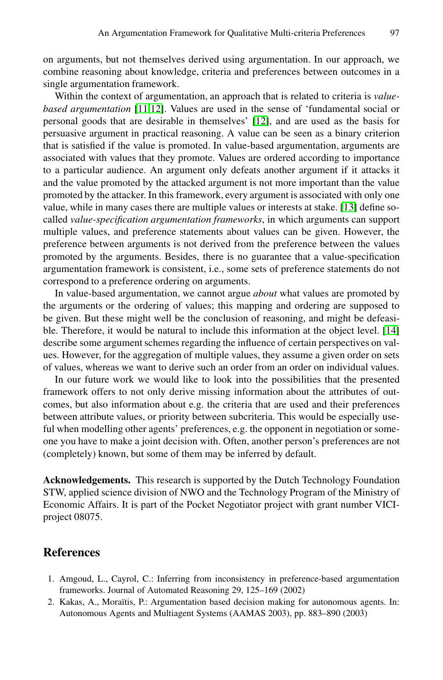on arguments, but not themselves derived using argumentation. In our approach, we combine reasoning about knowledge, criteria and preferences between outcomes in a single argumentation framework.

Within the context of argumentation, an approach that is related to criteria is *valuebased argumentation* [11,12]. Values are used in t[he s](#page-13-8)ense of 'fundamental social or personal goods that are desirable in themselves' [12], and are used as the basis for persuasive argument in practical reasoning. A value can be seen as a binary criterion that is satisfied if the value is promoted. In value-based argumentation, arguments are associated with values that they promote. Values are ordered according to importance to a particular audience. An argument only defeats another argument if it attacks it and the value promoted by the attacked argument is not more important than the value promoted by the attacker. In this framework, every argument is associated with only one value, while in many cases there are multiple values or interests at stake. [13] define socalled *value-specification argumentation frameworks*, in which arguments can support multiple values, and preference statements about values can [be](#page-13-9) given. However, the preference between arguments is not derived from the preference between the values promoted by the arguments. Besides, there is no guarantee that a value-specification argumentation framework is consistent, i.e., some sets of preference statements do not correspond to a preference ordering on arguments.

In value-based argumentation, we cannot argue *about* what values are promoted by the arguments or the ordering of values; this mapping and ordering are supposed to be given. But these might well be the conclusion of reasoning, and might be defeasible. Therefore, it would be natural to include this information at the object level. [14] describe some argument schemes regarding the influence of certain perspectives on values. However, for the aggregation of multiple values, they assume a given order on sets of values, whereas we want to derive such an order from an order on individual values.

<span id="page-12-1"></span><span id="page-12-0"></span>In our future work we would like to look into the possibilities that the presented framework offers to not only derive missing information about the attributes of outcomes, but also information about e.g. the criteria that are used and their preferences between attribute values, or priority between subcriteria. This would be especially useful when modelling other agents' preferences, e.g. the opponent in negotiation or someone you have to make a joint decision with. Often, another person's preferences are not (completely) known, but some of them may be inferred by default.

**Acknowledgements.** This research is supported by the Dutch Technology Foundation STW, applied science division of NWO and the Technology Program of the Ministry of Economic Affairs. It is part of the Pocket Negotiator project with grant number VICIproject 08075.

## **References**

- 1. Amgoud, L., Cayrol, C.: Inferring from inconsistency in preference-based argumentation frameworks. Journal of Automated Reasoning 29, 125–169 (2002)
- 2. Kakas, A., Moraïtis, P.: Argumentation based decision making for autonomous agents. In: Autonomous Agents and Multiagent Systems (AAMAS 2003), pp. 883–890 (2003)